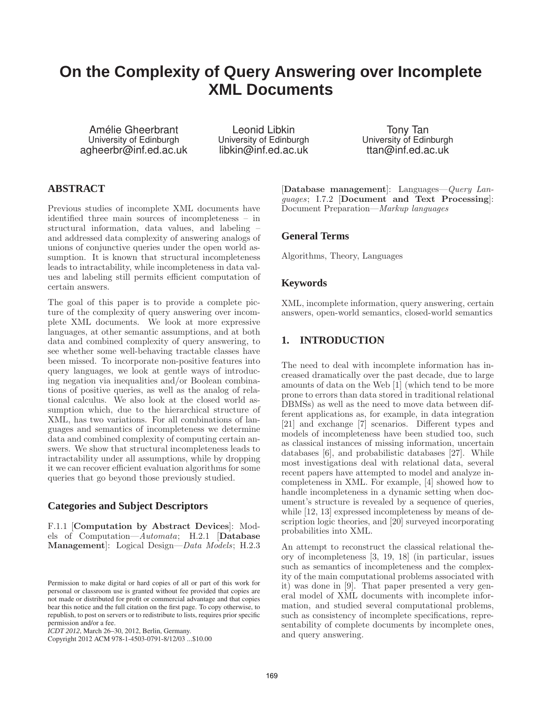# **On the Complexity of Query Answering over Incomplete XML Documents**

Amélie Gheerbrant University of Edinburgh agheerbr@inf.ed.ac.uk

Leonid Libkin University of Edinburgh libkin@inf.ed.ac.uk

Tony Tan University of Edinburgh ttan@inf.ed.ac.uk

## **ABSTRACT**

Previous studies of incomplete XML documents have identified three main sources of incompleteness – in structural information, data values, and labeling – and addressed data complexity of answering analogs of unions of conjunctive queries under the open world assumption. It is known that structural incompleteness leads to intractability, while incompleteness in data values and labeling still permits efficient computation of certain answers.

The goal of this paper is to provide a complete picture of the complexity of query answering over incomplete XML documents. We look at more expressive languages, at other semantic assumptions, and at both data and combined complexity of query answering, to see whether some well-behaving tractable classes have been missed. To incorporate non-positive features into query languages, we look at gentle ways of introducing negation via inequalities and/or Boolean combinations of positive queries, as well as the analog of relational calculus. We also look at the closed world assumption which, due to the hierarchical structure of XML, has two variations. For all combinations of languages and semantics of incompleteness we determine data and combined complexity of computing certain answers. We show that structural incompleteness leads to intractability under all assumptions, while by dropping it we can recover efficient evaluation algorithms for some queries that go beyond those previously studied.

## **Categories and Subject Descriptors**

F.1.1 [Computation by Abstract Devices]: Models of Computation—*Automata*; H.2.1 [Database Management]: Logical Design—*Data Models*; H.2.3

Copyright 2012 ACM 978-1-4503-0791-8/12/03 ...\$10.00

[Database management]: Languages—*Query Languages*; I.7.2 [Document and Text Processing]: Document Preparation—*Markup languages*

## **General Terms**

Algorithms, Theory, Languages

## **Keywords**

XML, incomplete information, query answering, certain answers, open-world semantics, closed-world semantics

## **1. INTRODUCTION**

The need to deal with incomplete information has increased dramatically over the past decade, due to large amounts of data on the Web [1] (which tend to be more prone to errors than data stored in traditional relational DBMSs) as well as the need to move data between different applications as, for example, in data integration [21] and exchange [7] scenarios. Different types and models of incompleteness have been studied too, such as classical instances of missing information, uncertain databases [6], and probabilistic databases [27]. While most investigations deal with relational data, several recent papers have attempted to model and analyze incompleteness in XML. For example, [4] showed how to handle incompleteness in a dynamic setting when document's structure is revealed by a sequence of queries, while [12, 13] expressed incompleteness by means of description logic theories, and [20] surveyed incorporating probabilities into XML.

An attempt to reconstruct the classical relational theory of incompleteness [3, 19, 18] (in particular, issues such as semantics of incompleteness and the complexity of the main computational problems associated with it) was done in [9]. That paper presented a very general model of XML documents with incomplete information, and studied several computational problems, such as consistency of incomplete specifications, representability of complete documents by incomplete ones, and query answering.

Permission to make digital or hard copies of all or part of this work for personal or classroom use is granted without fee provided that copies are not made or distributed for profit or commercial advantage and that copies bear this notice and the full citation on the first page. To copy otherwise, to republish, to post on servers or to redistribute to lists, requires prior specific permission and/or a fee.

*ICDT 2012*, March 26–30, 2012, Berlin, Germany.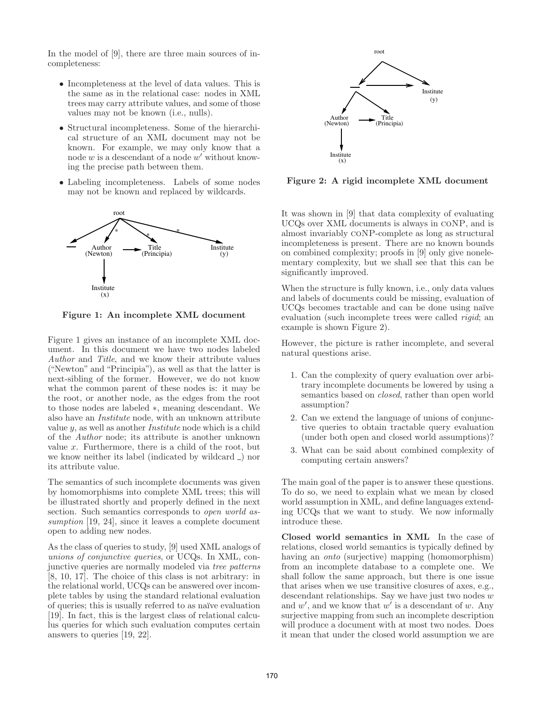In the model of [9], there are three main sources of incompleteness:

- Incompleteness at the level of data values. This is the same as in the relational case: nodes in XML trees may carry attribute values, and some of those values may not be known (i.e., nulls).
- Structural incompleteness. Some of the hierarchical structure of an XML document may not be known. For example, we may only know that a node  $w$  is a descendant of a node  $w'$  without knowing the precise path between them.
- Labeling incompleteness. Labels of some nodes may not be known and replaced by wildcards.



Figure 1: An incomplete XML document

Figure 1 gives an instance of an incomplete XML document. In this document we have two nodes labeled *Author* and *Title*, and we know their attribute values ("Newton" and "Principia"), as well as that the latter is next-sibling of the former. However, we do not know what the common parent of these nodes is: it may be the root, or another node, as the edges from the root to those nodes are labeled ∗, meaning descendant. We also have an *Institute* node, with an unknown attribute value y, as well as another *Institute* node which is a child of the *Author* node; its attribute is another unknown value  $x$ . Furthermore, there is a child of the root, but we know neither its label (indicated by wildcard  $\Box$ ) nor its attribute value.

The semantics of such incomplete documents was given by homomorphisms into complete XML trees; this will be illustrated shortly and properly defined in the next section. Such semantics corresponds to *open world assumption* [19, 24], since it leaves a complete document open to adding new nodes.

As the class of queries to study, [9] used XML analogs of *unions of conjunctive queries*, or UCQs. In XML, conjunctive queries are normally modeled via *tree patterns* [8, 10, 17]. The choice of this class is not arbitrary: in the relational world, UCQs can be answered over incomplete tables by using the standard relational evaluation of queries; this is usually referred to as na¨ıve evaluation [19]. In fact, this is the largest class of relational calculus queries for which such evaluation computes certain answers to queries [19, 22].



Figure 2: A rigid incomplete XML document

It was shown in [9] that data complexity of evaluating UCQs over XML documents is always in coNP, and is almost invariably coNP-complete as long as structural incompleteness is present. There are no known bounds on combined complexity; proofs in [9] only give nonelementary complexity, but we shall see that this can be significantly improved.

When the structure is fully known, i.e., only data values and labels of documents could be missing, evaluation of UCQs becomes tractable and can be done using naïve evaluation (such incomplete trees were called *rigid*; an example is shown Figure 2).

However, the picture is rather incomplete, and several natural questions arise.

- 1. Can the complexity of query evaluation over arbitrary incomplete documents be lowered by using a semantics based on *closed*, rather than open world assumption?
- 2. Can we extend the language of unions of conjunctive queries to obtain tractable query evaluation (under both open and closed world assumptions)?
- 3. What can be said about combined complexity of computing certain answers?

The main goal of the paper is to answer these questions. To do so, we need to explain what we mean by closed world assumption in XML, and define languages extending UCQs that we want to study. We now informally introduce these.

Closed world semantics in XML In the case of relations, closed world semantics is typically defined by having an *onto* (surjective) mapping (homomorphism) from an incomplete database to a complete one. We shall follow the same approach, but there is one issue that arises when we use transitive closures of axes, e.g., descendant relationships. Say we have just two nodes  $w$ and  $w'$ , and we know that  $w'$  is a descendant of w. Any surjective mapping from such an incomplete description will produce a document with at most two nodes. Does it mean that under the closed world assumption we are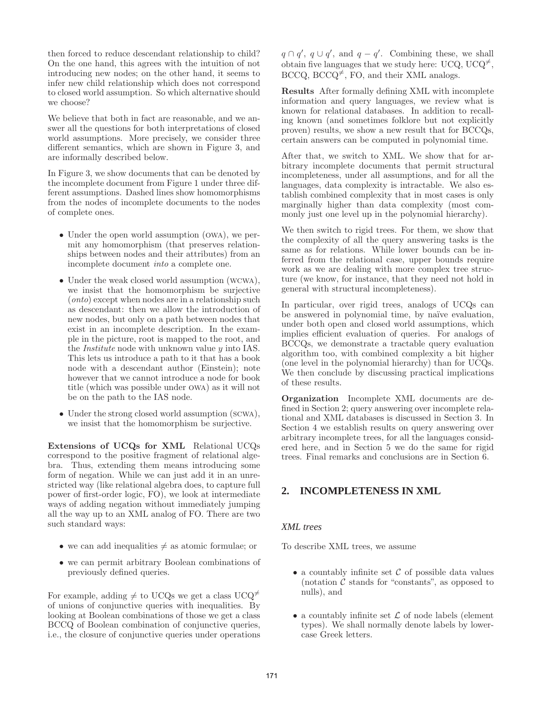then forced to reduce descendant relationship to child? On the one hand, this agrees with the intuition of not introducing new nodes; on the other hand, it seems to infer new child relationship which does not correspond to closed world assumption. So which alternative should we choose?

We believe that both in fact are reasonable, and we answer all the questions for both interpretations of closed world assumptions. More precisely, we consider three different semantics, which are shown in Figure 3, and are informally described below.

In Figure 3, we show documents that can be denoted by the incomplete document from Figure 1 under three different assumptions. Dashed lines show homomorphisms from the nodes of incomplete documents to the nodes of complete ones.

- Under the open world assumption (OWA), we permit any homomorphism (that preserves relationships between nodes and their attributes) from an incomplete document *into* a complete one.
- Under the weak closed world assumption (WCWA), we insist that the homomorphism be surjective (*onto*) except when nodes are in a relationship such as descendant: then we allow the introduction of new nodes, but only on a path between nodes that exist in an incomplete description. In the example in the picture, root is mapped to the root, and the *Institute* node with unknown value y into IAS. This lets us introduce a path to it that has a book node with a descendant author (Einstein); note however that we cannot introduce a node for book title (which was possible under owa) as it will not be on the path to the IAS node.
- Under the strong closed world assumption (SCWA), we insist that the homomorphism be surjective.

Extensions of UCQs for XML Relational UCQs correspond to the positive fragment of relational algebra. Thus, extending them means introducing some form of negation. While we can just add it in an unrestricted way (like relational algebra does, to capture full power of first-order logic, FO), we look at intermediate ways of adding negation without immediately jumping all the way up to an XML analog of FO. There are two such standard ways:

- we can add inequalities  $\neq$  as atomic formulae; or
- we can permit arbitrary Boolean combinations of previously defined queries.

For example, adding  $\neq$  to UCQs we get a class UCQ<sup> $\neq$ </sup> of unions of conjunctive queries with inequalities. By looking at Boolean combinations of those we get a class BCCQ of Boolean combination of conjunctive queries, i.e., the closure of conjunctive queries under operations

 $q \cap q'$ ,  $q \cup q'$ , and  $q - q'$ . Combining these, we shall obtain five languages that we study here: UCQ, UCQ<sup> $\neq$ </sup>, BCCQ, BCCQ<sup> $\neq$ </sup>, FO, and their XML analogs.

Results After formally defining XML with incomplete information and query languages, we review what is known for relational databases. In addition to recalling known (and sometimes folklore but not explicitly proven) results, we show a new result that for BCCQs, certain answers can be computed in polynomial time.

After that, we switch to XML. We show that for arbitrary incomplete documents that permit structural incompleteness, under all assumptions, and for all the languages, data complexity is intractable. We also establish combined complexity that in most cases is only marginally higher than data complexity (most commonly just one level up in the polynomial hierarchy).

We then switch to rigid trees. For them, we show that the complexity of all the query answering tasks is the same as for relations. While lower bounds can be inferred from the relational case, upper bounds require work as we are dealing with more complex tree structure (we know, for instance, that they need not hold in general with structural incompleteness).

In particular, over rigid trees, analogs of UCQs can be answered in polynomial time, by naïve evaluation, under both open and closed world assumptions, which implies efficient evaluation of queries. For analogs of BCCQs, we demonstrate a tractable query evaluation algorithm too, with combined complexity a bit higher (one level in the polynomial hierarchy) than for UCQs. We then conclude by discussing practical implications of these results.

Organization Incomplete XML documents are defined in Section 2; query answering over incomplete relational and XML databases is discussed in Section 3. In Section 4 we establish results on query answering over arbitrary incomplete trees, for all the languages considered here, and in Section 5 we do the same for rigid trees. Final remarks and conclusions are in Section 6.

# **2. INCOMPLETENESS IN XML**

#### *XML trees*

To describe XML trees, we assume

- a countably infinite set  $\mathcal C$  of possible data values (notation  $\mathcal C$  stands for "constants", as opposed to nulls), and
- a countably infinite set  $\mathcal L$  of node labels (element types). We shall normally denote labels by lowercase Greek letters.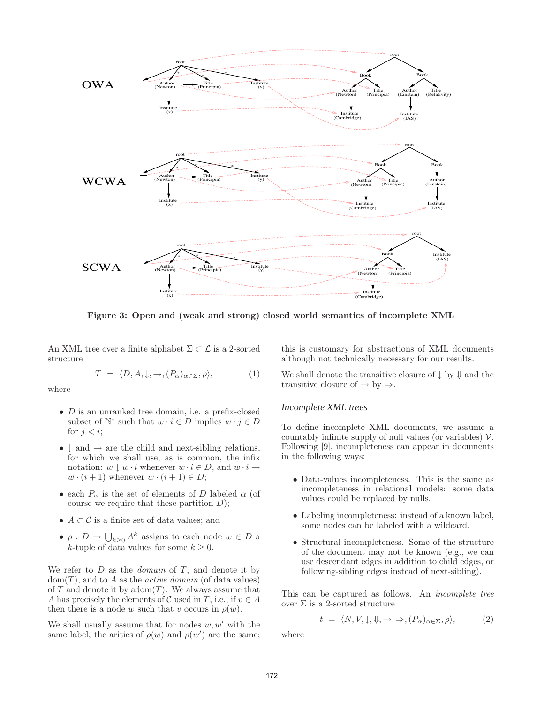

Figure 3: Open and (weak and strong) closed world semantics of incomplete XML

An XML tree over a finite alphabet  $\Sigma \subset \mathcal{L}$  is a 2-sorted structure

$$
T = \langle D, A, \downarrow, \to, (P_{\alpha})_{\alpha \in \Sigma}, \rho \rangle, \tag{1}
$$

where

- $\bullet$  *D* is an unranked tree domain, i.e. a prefix-closed subset of  $\mathbb{N}^*$  such that  $w \cdot i \in D$  implies  $w \cdot j \in D$ for  $i < i$ ;
- $\downarrow$  and  $\rightarrow$  are the child and next-sibling relations, for which we shall use, as is common, the infix notation:  $w \perp w \cdot i$  whenever  $w \cdot i \in D$ , and  $w \cdot i \rightarrow$  $w \cdot (i+1)$  whenever  $w \cdot (i+1) \in D$ ;
- each  $P_{\alpha}$  is the set of elements of D labeled  $\alpha$  (of course we require that these partition  $D$ );
- $A \subset \mathcal{C}$  is a finite set of data values; and
- $\rho: D \to \bigcup_{k \geq 0} A^k$  assigns to each node  $w \in D$  a k-tuple of data values for some  $k \geq 0$ .

We refer to D as the *domain* of T, and denote it by dom(T), and to A as the *active domain* (of data values) of  $T$  and denote it by adom $(T)$ . We always assume that A has precisely the elements of C used in T, i.e., if  $v \in A$ then there is a node w such that v occurs in  $\rho(w)$ .

We shall usually assume that for nodes  $w, w'$  with the same label, the arities of  $\rho(w)$  and  $\rho(w')$  are the same;

this is customary for abstractions of XML documents although not technically necessary for our results.

We shall denote the transitive closure of  $\downarrow$  by  $\downarrow$  and the transitive closure of  $\rightarrow$  by  $\Rightarrow$ .

#### *Incomplete XML trees*

To define incomplete XML documents, we assume a countably infinite supply of null values (or variables)  $\mathcal V$ . Following [9], incompleteness can appear in documents in the following ways:

- Data-values incompleteness. This is the same as incompleteness in relational models: some data values could be replaced by nulls.
- Labeling incompleteness: instead of a known label, some nodes can be labeled with a wildcard.
- Structural incompleteness. Some of the structure of the document may not be known (e.g., we can use descendant edges in addition to child edges, or following-sibling edges instead of next-sibling).

This can be captured as follows. An *incomplete tree* over Σ is a 2-sorted structure

$$
t = \langle N, V, \downarrow, \Downarrow, \to, \Rightarrow, (P_{\alpha})_{\alpha \in \Sigma}, \rho \rangle,
$$
 (2)

where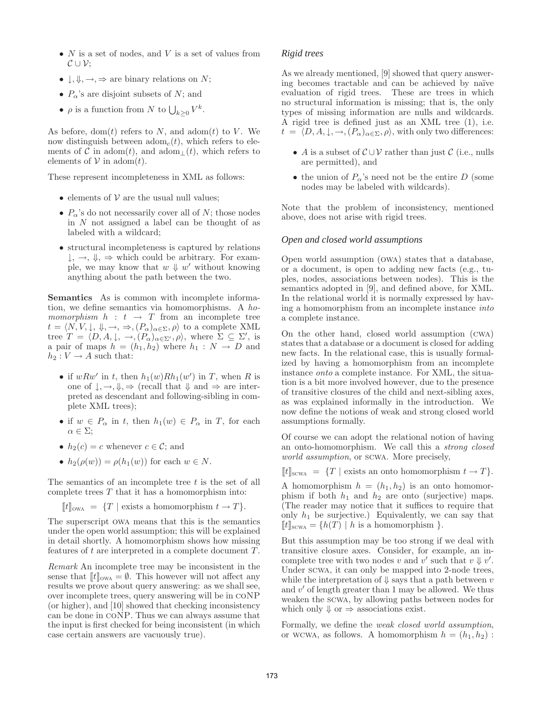- $N$  is a set of nodes, and  $V$  is a set of values from  $\mathcal{C} \cup \mathcal{V}$ ;
- $\downarrow, \Downarrow, \rightarrow, \Rightarrow$  are binary relations on N;
- $P_{\alpha}$ 's are disjoint subsets of N; and
- $\rho$  is a function from N to  $\bigcup_{k\geq 0} V^k$ .

As before, dom(t) refers to  $N$ , and adom(t) to  $V$ . We now distinguish between  $\text{adom}_c(t)$ , which refers to elements of C in adom $(t)$ , and adom<sub>⊥</sub> $(t)$ , which refers to elements of  $V$  in adom(*t*).

These represent incompleteness in XML as follows:

- elements of  $V$  are the usual null values;
- $P_{\alpha}$ 's do not necessarily cover all of N; those nodes in N not assigned a label can be thought of as labeled with a wildcard;
- structural incompleteness is captured by relations  $\downarrow, \rightarrow, \downarrow, \Rightarrow$  which could be arbitrary. For example, we may know that  $w \Downarrow w'$  without knowing anything about the path between the two.

Semantics As is common with incomplete information, we define semantics via homomorphisms. A *homomorphism*  $h : t \rightarrow T$  from an incomplete tree  $t = \langle N, V, \downarrow, \psi, \rightarrow, \Rightarrow, (P_{\alpha})_{\alpha \in \Sigma}, \rho \rangle$  to a complete XML tree  $T = \langle D, A, \downarrow, \rightarrow, (P_{\alpha})_{\alpha \in \Sigma'}$ ,  $\rho \rangle$ , where  $\Sigma \subseteq \Sigma'$ , is a pair of maps  $h = (h_1, h_2)$  where  $h_1 : N \to D$  and  $h_2: V \rightarrow A$  such that:

- if  $wRw'$  in t, then  $h_1(w)Rh_1(w')$  in T, when R is one of  $\downarrow, \rightarrow, \Downarrow, \Rightarrow$  (recall that  $\Downarrow$  and  $\Rightarrow$  are interpreted as descendant and following-sibling in complete XML trees);
- if  $w \in P_\alpha$  in t, then  $h_1(w) \in P_\alpha$  in T, for each  $\alpha \in \Sigma$ :
- $h_2(c) = c$  whenever  $c \in \mathcal{C}$ ; and
- $h_2(\rho(w)) = \rho(h_1(w))$  for each  $w \in N$ .

The semantics of an incomplete tree  $t$  is the set of all complete trees  $T$  that it has a homomorphism into:

$$
[[t]]_{\text{owa}} = \{T \mid \text{exists a homomorphism } t \to T\}.
$$

The superscript owa means that this is the semantics under the open world assumption; this will be explained in detail shortly. A homomorphism shows how missing features of t are interpreted in a complete document T.

*Remark* An incomplete tree may be inconsistent in the sense that  $\llbracket t \rrbracket_{\text{owa}} = \emptyset$ . This however will not affect any results we prove about query answering: as we shall see, over incomplete trees, query answering will be in coNP (or higher), and [10] showed that checking inconsistency can be done in coNP. Thus we can always assume that the input is first checked for being inconsistent (in which case certain answers are vacuously true).

#### *Rigid trees*

As we already mentioned, [9] showed that query answering becomes tractable and can be achieved by naïve evaluation of rigid trees. These are trees in which no structural information is missing; that is, the only types of missing information are nulls and wildcards. A rigid tree is defined just as an XML tree (1), i.e.  $t = \langle D, A, \downarrow, \rightarrow, (P_{\alpha})_{\alpha \in \Sigma}, \rho \rangle$ , with only two differences:

- A is a subset of  $\mathcal{C} \cup \mathcal{V}$  rather than just  $\mathcal{C}$  (i.e., nulls are permitted), and
- the union of  $P_{\alpha}$ 's need not be the entire D (some nodes may be labeled with wildcards).

Note that the problem of inconsistency, mentioned above, does not arise with rigid trees.

#### *Open and closed world assumptions*

Open world assumption (owa) states that a database, or a document, is open to adding new facts (e.g., tuples, nodes, associations between nodes). This is the semantics adopted in [9], and defined above, for XML. In the relational world it is normally expressed by having a homomorphism from an incomplete instance *into* a complete instance.

On the other hand, closed world assumption (cwa) states that a database or a document is closed for adding new facts. In the relational case, this is usually formalized by having a homomorphism from an incomplete instance *onto* a complete instance. For XML, the situation is a bit more involved however, due to the presence of transitive closures of the child and next-sibling axes, as was explained informally in the introduction. We now define the notions of weak and strong closed world assumptions formally.

Of course we can adopt the relational notion of having an onto-homomorphism. We call this a *strong closed world assumption*, or scwa. More precisely,

 $\llbracket t \rrbracket_{\text{SCWA}} = \{T \mid \text{exists an onto homomorphism } t \to T\}.$ 

A homomorphism  $h = (h_1, h_2)$  is an onto homomorphism if both  $h_1$  and  $h_2$  are onto (surjective) maps. (The reader may notice that it suffices to require that only  $h_1$  be surjective.) Equivalently, we can say that  $\llbracket t \rrbracket_{\text{SCWA}} = \{h(T) \mid h \text{ is a homomorphism } \}.$ 

But this assumption may be too strong if we deal with transitive closure axes. Consider, for example, an incomplete tree with two nodes v and v' such that  $v \Downarrow v'$ . Under scwa, it can only be mapped into 2-node trees, while the interpretation of  $\Downarrow$  says that a path between v and  $v'$  of length greater than 1 may be allowed. We thus weaken the scwa, by allowing paths between nodes for which only  $\Downarrow$  or  $\Rightarrow$  associations exist.

Formally, we define the *weak closed world assumption*, or wcwa, as follows. A homomorphism  $h = (h_1, h_2)$ :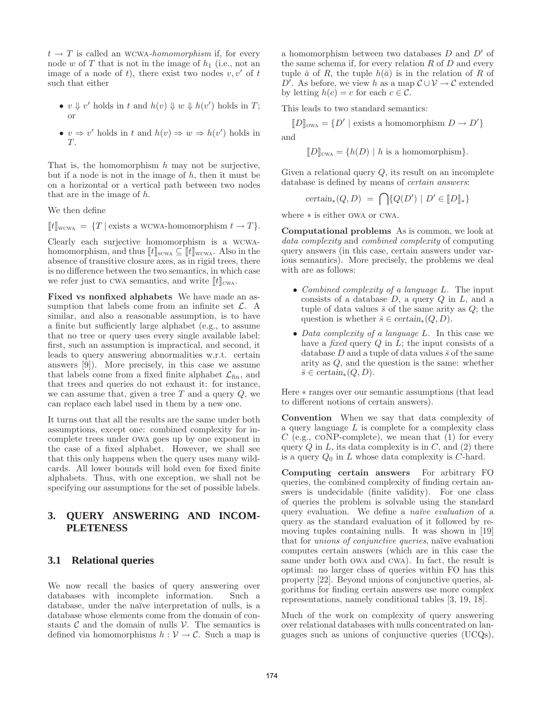$t \to T$  is called an WCWA-homomorphism if, for every node w of  $T$  that is not in the image of  $h_1$  (i.e., not an image of a node of t), there exist two nodes  $v, v'$  of t such that either

- $v \Downarrow v'$  holds in t and  $h(v) \Downarrow w \Downarrow h(v')$  holds in T; or
- $v \Rightarrow v'$  holds in t and  $h(v) \Rightarrow w \Rightarrow h(v')$  holds in T.

That is, the homomorphism  $h$  may not be surjective, but if a node is not in the image of  $h$ , then it must be on a horizontal or a vertical path between two nodes that are in the image of h.

We then define

 $[[t]]_{\text{wcwa}} = \{T \mid \text{exists a w}$ cwa-homomorphism  $t \to T\}.$ 

Clearly each surjective homomorphism is a wcwahomomorphism, and thus  $[[t]]_{\text{scwa}} \subseteq [[t]]_{\text{wcwa}}$ . Also in the absence of transitive closure axes, as in rigid trees, there is no difference between the two semantics, in which case we refer just to CWA semantics, and write  $\llbracket t \rrbracket_{\text{CWA}}$ .

Fixed vs nonfixed alphabets We have made an assumption that labels come from an infinite set  $\mathcal{L}$ . A similar, and also a reasonable assumption, is to have a finite but sufficiently large alphabet (e.g., to assume that no tree or query uses every single available label: first, such an assumption is impractical, and second, it leads to query answering abnormalities w.r.t. certain answers [9]). More precisely, in this case we assume that labels come from a fixed finite alphabet  $\mathcal{L}_{fin}$ , and that trees and queries do not exhaust it: for instance, we can assume that, given a tree  $T$  and a query  $Q$ , we can replace each label used in them by a new one.

It turns out that all the results are the same under both assumptions, except one: combined complexity for incomplete trees under owa goes up by one exponent in the case of a fixed alphabet. However, we shall see that this only happens when the query uses many wildcards. All lower bounds will hold even for fixed finite alphabets. Thus, with one exception, we shall not be specifying our assumptions for the set of possible labels.

## **3. QUERY ANSWERING AND INCOM-PLETENESS**

#### **3.1 Relational queries**

We now recall the basics of query answering over databases with incomplete information. Such a database, under the naïve interpretation of nulls, is a database whose elements come from the domain of constants  $C$  and the domain of nulls  $V$ . The semantics is defined via homomorphisms  $h: V \to C$ . Such a map is a homomorphism between two databases  $D$  and  $D'$  of the same schema if, for every relation  $R$  of  $D$  and every tuple  $\bar{a}$  of R, the tuple  $h(\bar{a})$  is in the relation of R of D'. As before, we view h as a map  $\mathcal{C} \cup \mathcal{V} \to \mathcal{C}$  extended by letting  $h(c) = c$  for each  $c \in \mathcal{C}$ .

This leads to two standard semantics:

 $[D]_{\text{owa}} = \{D' \mid \text{exists a homomorphism } D \to D'\}$ 

and

 $[D]_{\text{CWA}} = \{h(D) \mid h \text{ is a homomorphism}\}.$ 

Given a relational query  $Q$ , its result on an incomplete database is defined by means of *certain answers*:

$$
certain_*(Q, D) = \bigcap \{Q(D') \mid D' \in [D]*\}
$$

where ∗ is either owa or cwa.

Computational problems As is common, we look at *data complexity* and *combined complexity* of computing query answers (in this case, certain answers under various semantics). More precisely, the problems we deal with are as follows:

- *Combined complexity of a language* L*.* The input consists of a database  $D$ , a query  $Q$  in  $L$ , and a tuple of data values  $\bar{s}$  of the same arity as  $Q$ ; the question is whether  $\bar{s} \in certain_*(Q, D)$ .
- *Data complexity of a language* L*.* In this case we have a *fixed* query Q in L; the input consists of a database D and a tuple of data values  $\bar{s}$  of the same arity as Q, and the question is the same: whether  $\overline{s} \in \text{certain}_*(Q, D).$

Here ∗ ranges over our semantic assumptions (that lead to different notions of certain answers).

Convention When we say that data complexity of a query language  $L$  is complete for a complexity class  $C$  (e.g., CONP-complete), we mean that  $(1)$  for every query  $Q$  in  $L$ , its data complexity is in  $C$ , and  $(2)$  there is a query  $Q_0$  in L whose data complexity is C-hard.

Computing certain answers For arbitrary FO queries, the combined complexity of finding certain answers is undecidable (finite validity). For one class of queries the problem is solvable using the standard query evaluation. We define a *naïve evaluation* of a query as the standard evaluation of it followed by removing tuples containing nulls. It was shown in [19] that for *unions of conjunctive queries*, naïve evaluation computes certain answers (which are in this case the same under both owa and cwa). In fact, the result is optimal: no larger class of queries within FO has this property [22]. Beyond unions of conjunctive queries, algorithms for finding certain answers use more complex representations, namely conditional tables [3, 19, 18].

Much of the work on complexity of query answering over relational databases with nulls concentrated on languages such as unions of conjunctive queries (UCQs),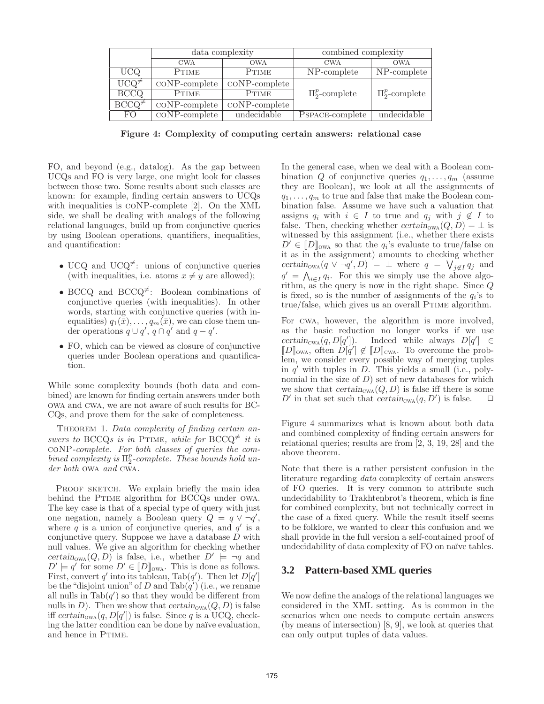|                          | $data$ complexity                   |                           | combined complexity |                     |
|--------------------------|-------------------------------------|---------------------------|---------------------|---------------------|
|                          | <b>CWA</b>                          | <b>OWA</b>                | <b>CWA</b>          | <b>OWA</b>          |
| UCQ                      | PTIME                               | <b>PTIME</b>              | NP-complete         | NP-complete         |
| $UCQ^{\neq}$             | $\mathrm{coNP}$ -complete           | $\mathrm{coNP}$ -complete |                     |                     |
| <b>BCCQ</b>              | $P$ TIME                            | PTIME                     | $\Pi_2^p$ -complete | $\Pi_2^p$ -complete |
| $\overline{BCCQ^{\neq}}$ | $\mathrm{coNP}$ -complete           | $\mathrm{coNP}$ -complete |                     |                     |
| FO.                      | $\overline{\mathrm{coNP-complete}}$ | undecidable               | PSPACE-complete     | undecidable         |

Figure 4: Complexity of computing certain answers: relational case

FO, and beyond (e.g., datalog). As the gap between UCQs and FO is very large, one might look for classes between those two. Some results about such classes are known: for example, finding certain answers to UCQs with inequalities is coNP-complete [2]. On the XML side, we shall be dealing with analogs of the following relational languages, build up from conjunctive queries by using Boolean operations, quantifiers, inequalities, and quantification:

- UCQ and UCQ<sup> $\neq$ </sup>: unions of conjunctive queries (with inequalities, i.e. atoms  $x \neq y$  are allowed);
- BCCQ and BCCQ<sup> $\neq$ </sup>: Boolean combinations of conjunctive queries (with inequalities). In other words, starting with conjunctive queries (with inequalities)  $q_1(\bar{x}), \ldots, q_m(\bar{x}),$  we can close them under operations  $q \cup q', q \cap q'$  and  $q - q'$ .
- FO, which can be viewed as closure of conjunctive queries under Boolean operations and quantification.

While some complexity bounds (both data and combined) are known for finding certain answers under both owa and cwa, we are not aware of such results for BC-CQs, and prove them for the sake of completeness.

Theorem 1. *Data complexity of finding certain answers to* BCCQ*s* is in PTIME, while for BCCQ<sup> $\neq$ </sup> it is coNP*-complete. For both classes of queries the combined complexity is* Π p 2 *-complete. These bounds hold under both* owa *and* cwa*.*

PROOF SKETCH. We explain briefly the main idea behind the PTIME algorithm for BCCQs under OWA. The key case is that of a special type of query with just one negation, namely a Boolean query  $Q = q \vee \neg q'$ , where  $q$  is a union of conjunctive queries, and  $q'$  is a conjunctive query. Suppose we have a database  $D$  with null values. We give an algorithm for checking whether certain<sub>owa</sub>  $(Q, D)$  is false, i.e., whether  $D' \models \neg q$  and  $D' \models q'$  for some  $D' \in [D]_{\text{OWA}}$ . This is done as follows. First, convert q' into its tableau, Tab $(q')$ . Then let  $D[q']$ be the "disjoint union" of D and  $\text{Tab}(\tilde{q}')$  (i.e., we rename all nulls in  $\text{Tab}(q')$  so that they would be different from nulls in D). Then we show that  $certain_{\text{OWA}}(Q, D)$  is false iff certain<sub>owa</sub> $(q, D[q'])$  is false. Since q is a UCQ, checking the latter condition can be done by naïve evaluation, and hence in PTIME.

In the general case, when we deal with a Boolean combination Q of conjunctive queries  $q_1, \ldots, q_m$  (assume they are Boolean), we look at all the assignments of  $q_1, \ldots, q_m$  to true and false that make the Boolean combination false. Assume we have such a valuation that assigns  $q_i$  with  $i \in I$  to true and  $q_j$  with  $j \notin I$  to false. Then, checking whether certain<sub>owa</sub> $(Q, D) = \perp$  is witnessed by this assignment (i.e., whether there exists  $D' \in [D]_{\text{owa}}$  so that the  $q_i$ 's evaluate to true/false on it as in the assignment) amounts to checking whether certain<sub>owa</sub> $(q \vee \neg q', D)$  =  $\perp$  where  $q = \bigvee_{j \notin I} q_j$  and  $q' = \bigwedge_{i \in I} q_i$ . For this we simply use the above algorithm, as the query is now in the right shape. Since Q is fixed, so is the number of assignments of the  $q_i$ 's to true/false, which gives us an overall PTIME algorithm.

For cwa, however, the algorithm is more involved, as the basic reduction no longer works if we use  $certain_{\text{CWA}}(q, D[q']$ ]). Indeed while always  $D[q'] \in$  $\llbracket D \rrbracket_{\text{OWA}}$ , often  $D[q'] \notin \llbracket D \rrbracket_{\text{CWA}}$ . To overcome the problem, we consider every possible way of merging tuples in  $q'$  with tuples in  $\ddot{D}$ . This yields a small (i.e., polynomial in the size of  $D$ ) set of new databases for which we show that  $certain_{\text{CWA}}(Q, D)$  is false iff there is some D' in that set such that  $certain_{\text{CWA}}(q, D')$  is false.  $\Box$ 

Figure 4 summarizes what is known about both data and combined complexity of finding certain answers for relational queries; results are from [2, 3, 19, 28] and the above theorem.

Note that there is a rather persistent confusion in the literature regarding *data* complexity of certain answers of FO queries. It is very common to attribute such undecidability to Trakhtenbrot's theorem, which is fine for combined complexity, but not technically correct in the case of a fixed query. While the result itself seems to be folklore, we wanted to clear this confusion and we shall provide in the full version a self-contained proof of undecidability of data complexity of FO on naïve tables.

## **3.2 Pattern-based XML queries**

We now define the analogs of the relational languages we considered in the XML setting. As is common in the scenarios when one needs to compute certain answers (by means of intersection) [8, 9], we look at queries that can only output tuples of data values.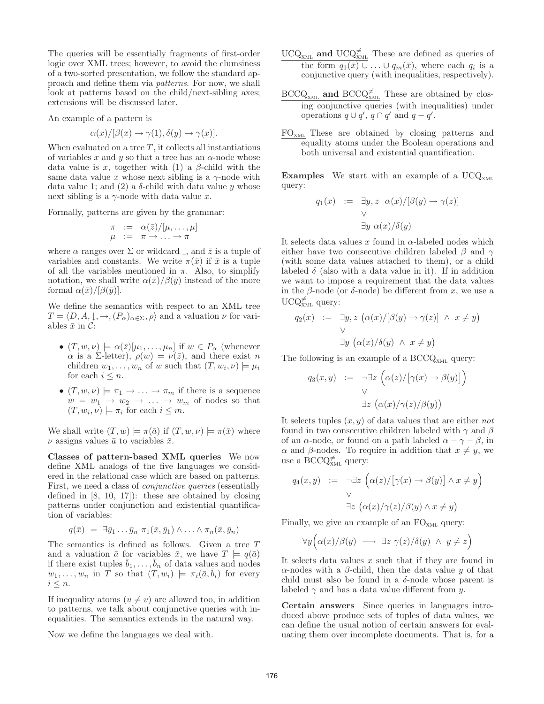The queries will be essentially fragments of first-order logic over XML trees; however, to avoid the clumsiness of a two-sorted presentation, we follow the standard approach and define them via *patterns*. For now, we shall look at patterns based on the child/next-sibling axes; extensions will be discussed later.

An example of a pattern is

$$
\alpha(x)/[\beta(x) \to \gamma(1), \delta(y) \to \gamma(x)].
$$

When evaluated on a tree  $T$ , it collects all instantiations of variables x and y so that a tree has an  $\alpha$ -node whose data value is x, together with (1) a  $\beta$ -child with the same data value x whose next sibling is a  $\gamma$ -node with data value 1; and (2) a  $\delta$ -child with data value y whose next sibling is a  $\gamma$ -node with data value x.

Formally, patterns are given by the grammar:

$$
\begin{array}{rcl}\n\pi & := & \alpha(\bar{z})/[\mu, \dots, \mu] \\
\mu & := & \pi \to \dots \to \pi\n\end{array}
$$

where  $\alpha$  ranges over  $\Sigma$  or wildcard –, and  $\overline{z}$  is a tuple of variables and constants. We write  $\pi(\bar{x})$  if  $\bar{x}$  is a tuple of all the variables mentioned in  $\pi$ . Also, to simplify notation, we shall write  $\alpha(\bar{x})/\beta(\bar{y})$  instead of the more formal  $\alpha(\bar{x})/|\beta(\bar{y})|$ .

We define the semantics with respect to an XML tree  $T = \langle D, A, \downarrow, \rightarrow, (P_{\alpha})_{\alpha \in \Sigma}, \rho \rangle$  and a valuation  $\nu$  for variables  $\bar{x}$  in C:

- $(T, w, \nu) \models \alpha(\bar{z})[\mu_1, \ldots, \mu_n]$  if  $w \in P_\alpha$  (whenever  $\alpha$  is a Σ-letter),  $\rho(w) = \nu(\bar{z})$ , and there exist n children  $w_1, \ldots, w_n$  of w such that  $(T, w_i, \nu) \models \mu_i$ for each  $i \leq n$ .
- $(T, w, \nu) \models \pi_1 \rightarrow \ldots \rightarrow \pi_m$  if there is a sequence  $w = w_1 \rightarrow w_2 \rightarrow \ldots \rightarrow w_m$  of nodes so that  $(T, w_i, \nu) \models \pi_i$  for each  $i \leq m$ .

We shall write  $(T, w) \models \pi(\bar{a})$  if  $(T, w, \nu) \models \pi(\bar{x})$  where  $\nu$  assigns values  $\bar{a}$  to variables  $\bar{x}$ .

Classes of pattern-based XML queries We now define XML analogs of the five languages we considered in the relational case which are based on patterns. First, we need a class of *conjunctive queries* (essentially defined in  $[8, 10, 17]$ : these are obtained by closing patterns under conjunction and existential quantification of variables:

$$
q(\bar{x}) = \exists \bar{y}_1 \ldots \bar{y}_n \; \pi_1(\bar{x}, \bar{y}_1) \wedge \ldots \wedge \pi_n(\bar{x}, \bar{y}_n)
$$

The semantics is defined as follows. Given a tree T and a valuation  $\bar{a}$  for variables  $\bar{x}$ , we have  $T \models q(\bar{a})$ if there exist tuples  $\bar{b}_1, \ldots, \bar{b}_n$  of data values and nodes  $w_1, \ldots, w_n$  in T so that  $(T, w_i) \models \pi_i(\bar{a}, \bar{b}_i)$  for every  $i \leq n$ .

If inequality atoms  $(u \neq v)$  are allowed too, in addition to patterns, we talk about conjunctive queries with inequalities. The semantics extends in the natural way.

Now we define the languages we deal with.

- $UCQ<sub>XML</sub>$  and  $UCQ<sub>XML</sub><sup>≠</sup>$  These are defined as queries of the form  $q_1(\bar{x}) \cup ... \cup q_m(\bar{x})$ , where each  $q_i$  is a conjunctive query (with inequalities, respectively).
- $\text{BCCQ}_{\text{XML}}$  and  $\text{BCCQ}_{\text{XML}}^{\neq}$  These are obtained by closing conjunctive queries (with inequalities) under operations  $q \cup q', q \cap q'$  and  $q - q'$ .
- FOxml These are obtained by closing patterns and equality atoms under the Boolean operations and both universal and existential quantification.

**Examples** We start with an example of a  $UCQ<sub>XML</sub>$ query:

$$
q_1(x) := \exists y, z \ \alpha(x) / [\beta(y) \to \gamma(z)]
$$
  
 
$$
\forall
$$
  
 
$$
\exists y \ \alpha(x) / \delta(y)
$$

It selects data values x found in  $\alpha$ -labeled nodes which either have two consecutive children labeled  $\beta$  and  $\gamma$ (with some data values attached to them), or a child labeled  $\delta$  (also with a data value in it). If in addition we want to impose a requirement that the data values in the  $\beta$ -node (or  $\delta$ -node) be different from x, we use a  $UCQ_{x_{ML}}^{\neq}$  query:

$$
q_2(x) := \exists y, z \ (\alpha(x) / [\beta(y) \to \gamma(z)] \land x \neq y)
$$
  
 
$$
\forall
$$
  
 
$$
\exists y \ (\alpha(x) / \delta(y) \land x \neq y)
$$

The following is an example of a  $\text{BCCQ}_{\text{XML}}$  query:

$$
q_3(x, y) := \neg \exists z \left( \alpha(z) / [\gamma(x) \to \beta(y)] \right)
$$
  
 
$$
\forall
$$
  
 
$$
\exists z \left( \alpha(x) / \gamma(z) / \beta(y) \right)
$$

It selects tuples (x, y) of data values that are either *not* found in two consecutive children labeled with  $\gamma$  and  $\beta$ of an  $\alpha$ -node, or found on a path labeled  $\alpha - \gamma - \beta$ , in α and β-nodes. To require in addition that  $x \neq y$ , we use a BCCQ $\sharp_{\text{XML}}$  query:

$$
q_4(x, y) := \neg \exists z \left( \alpha(z) / [\gamma(x) \to \beta(y)] \land x \neq y \right)
$$
  
 
$$
\forall
$$
  
 
$$
\exists z \left( \alpha(x) / \gamma(z) / \beta(y) \land x \neq y \right)
$$

Finally, we give an example of an  $FO<sub>XML</sub>$  query:

$$
\forall y \Big( \alpha(x)/\beta(y) \longrightarrow \exists z \ \gamma(z)/\delta(y) \ \land \ y \neq z \Big)
$$

It selects data values  $x$  such that if they are found in α-nodes with a β-child, then the data value  $y$  of that child must also be found in a  $\delta$ -node whose parent is labeled  $\gamma$  and has a data value different from y.

Certain answers Since queries in languages introduced above produce sets of tuples of data values, we can define the usual notion of certain answers for evaluating them over incomplete documents. That is, for a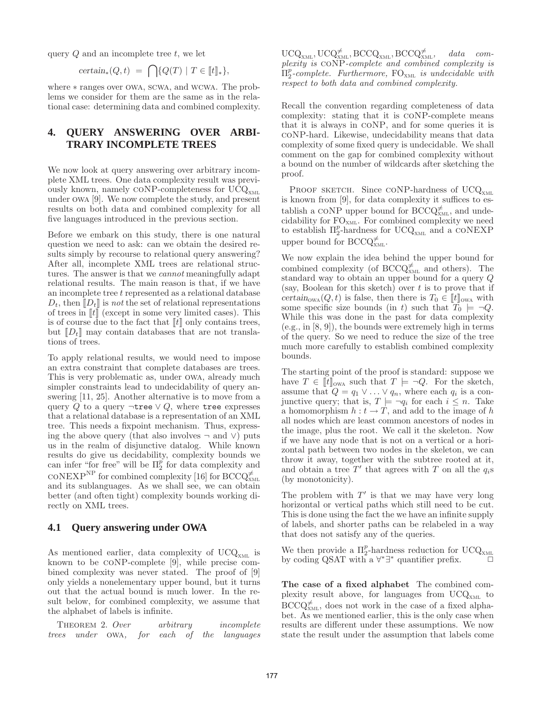query  $Q$  and an incomplete tree  $t$ , we let

$$
certain_*(Q,t) = \bigcap \{Q(T) \mid T \in [t]_*\},\
$$

where ∗ ranges over owa, scwa, and wcwa. The problems we consider for them are the same as in the relational case: determining data and combined complexity.

# **4. QUERY ANSWERING OVER ARBI-TRARY INCOMPLETE TREES**

We now look at query answering over arbitrary incomplete XML trees. One data complexity result was previously known, namely CONP-completeness for  $\text{UCQ}_{\text{XML}}$ under owa [9]. We now complete the study, and present results on both data and combined complexity for all five languages introduced in the previous section.

Before we embark on this study, there is one natural question we need to ask: can we obtain the desired results simply by recourse to relational query answering? After all, incomplete XML trees are relational structures. The answer is that we *cannot* meaningfully adapt relational results. The main reason is that, if we have an incomplete tree t represented as a relational database  $D_t$ , then  $\llbracket D_t \rrbracket$  is *not* the set of relational representations of trees in  $\llbracket t \rrbracket$  (except in some very limited cases). This is of course due to the fact that  $\llbracket t \rrbracket$  only contains trees, but  $[D_t]$  may contain databases that are not translations of trees.

To apply relational results, we would need to impose an extra constraint that complete databases are trees. This is very problematic as, under owa, already much simpler constraints lead to undecidability of query answering [11, 25]. Another alternative is to move from a query Q to a query  $\neg$ tree  $\vee Q$ , where tree expresses that a relational database is a representation of an XML tree. This needs a fixpoint mechanism. Thus, expressing the above query (that also involves  $\neg$  and  $\vee$ ) puts us in the realm of disjunctive datalog. While known results do give us decidability, complexity bounds we can infer "for free" will be  $\Pi_2^{\tilde{p}}$  for data complexity and  $\mathrm{coNEXP}^{\mathrm{NP}}$  for combined complexity [16] for  $\mathrm{BCCQ}_{\mathrm{XML}}^{\neq}$ and its sublanguages. As we shall see, we can obtain better (and often tight) complexity bounds working directly on XML trees.

## **4.1 Query answering under OWA**

As mentioned earlier, data complexity of  $UCQ<sub>xML</sub>$  is known to be coNP-complete [9], while precise combined complexity was never stated. The proof of [9] only yields a nonelementary upper bound, but it turns out that the actual bound is much lower. In the result below, for combined complexity, we assume that the alphabet of labels is infinite.

Theorem 2. *Over arbitrary incomplete trees under* owa*, for each of the languages*

 $\mathrm{UCQ}_{\mathrm{XML}}^{\mathcal{F}}, \mathrm{UCQ}_{\mathrm{XML}}^{\mathcal{F}}, \mathrm{BCCQ}_{\mathrm{XML}}^{\mathcal{F}}, \quad data \quad com$ *plexity is* coNP*-complete and combined complexity is*  $\Pi_{2}^{p}$ -complete. Furthermore, FO<sub>xΜL</sub> is undecidable with *respect to both data and combined complexity.*

Recall the convention regarding completeness of data complexity: stating that it is coNP-complete means that it is always in coNP, and for some queries it is coNP-hard. Likewise, undecidability means that data complexity of some fixed query is undecidable. We shall comment on the gap for combined complexity without a bound on the number of wildcards after sketching the proof.

PROOF SKETCH. Since CONP-hardness of  $UCQ<sub>XML</sub>$ is known from [9], for data complexity it suffices to establish a CONP upper bound for  $\text{BCCQ}_{x_{ML}}^{\neq}$ , and undecidability for  $FO_{xML}$ . For combined complexity we need to establish  $\Pi_2^p$ -hardness for UCQ<sub>XML</sub> and a CONEXP upper bound for  $\text{BCCQ}^{\neq}_{\text{XML}}$ .

We now explain the idea behind the upper bound for combined complexity (of  $\text{BCCQ}_{x_{ML}}^{\neq}$  and others). The standard way to obtain an upper bound for a query Q (say, Boolean for this sketch) over  $t$  is to prove that if certain<sub>owa</sub> $(Q, t)$  is false, then there is  $T_0 \in [t]_{\text{owa}}$  with some specific size bounds (in t) such that  $\overline{T}_0 \models \neg Q$ . While this was done in the past for data complexity (e.g., in [8, 9]), the bounds were extremely high in terms of the query. So we need to reduce the size of the tree much more carefully to establish combined complexity bounds.

The starting point of the proof is standard: suppose we have  $T \in [t]_{\text{owa}}$  such that  $T \models \neg Q$ . For the sketch, assume that  $Q = q_1 \vee \ldots \vee q_n$ , where each  $q_i$  is a conjunctive query; that is,  $T \models \neg q_i$  for each  $i \leq n$ . Take a homomorphism  $h : t \to T$ , and add to the image of h all nodes which are least common ancestors of nodes in the image, plus the root. We call it the skeleton. Now if we have any node that is not on a vertical or a horizontal path between two nodes in the skeleton, we can throw it away, together with the subtree rooted at it, and obtain a tree  $T'$  that agrees with T on all the  $q_i$ s (by monotonicity).

The problem with  $T'$  is that we may have very long horizontal or vertical paths which still need to be cut. This is done using the fact the we have an infinite supply of labels, and shorter paths can be relabeled in a way that does not satisfy any of the queries.

We then provide a  $\Pi_2^p$ -hardness reduction for UCQ<sub>XML</sub> by coding QSAT with a  $\forall^*\exists^*$  quantifier prefix.  $\Box$ 

The case of a fixed alphabet The combined complexity result above, for languages from  $UCQ_{xML}$  to  $\text{BCCQ}_{x_{ML}}^{\neq}$ , does not work in the case of a fixed alphabet. As we mentioned earlier, this is the only case when results are different under these assumptions. We now state the result under the assumption that labels come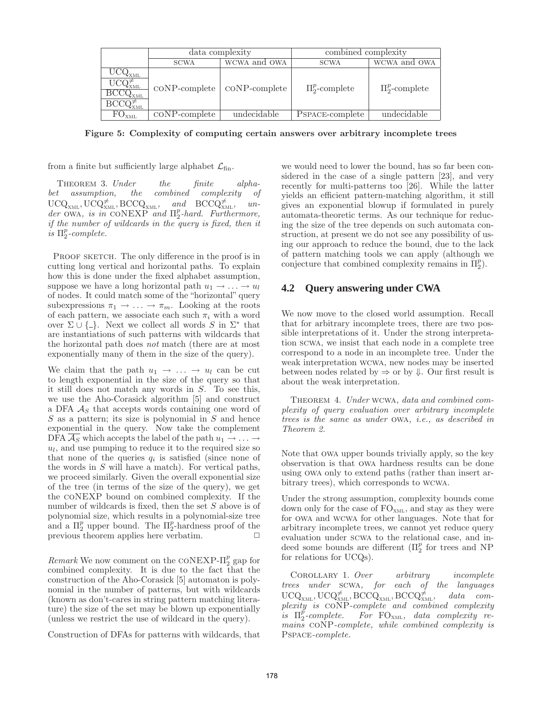|                                                                                                                                    | data complexity           |                           | combined complexity |                     |
|------------------------------------------------------------------------------------------------------------------------------------|---------------------------|---------------------------|---------------------|---------------------|
|                                                                                                                                    | <b>SCWA</b>               | WCWA and OWA              | <b>SCWA</b>         | WCWA and OWA        |
| $\rm{UCQ}_{\rm{XML}}$<br>$\mathrm{U}\mathrm{C}\overline{\mathrm{Q}}_{\mathrm{XML}}^{\div}$<br>$\overline{\mathrm{BCCQ_{_{XML}}} }$ | $\mathrm{coNP}$ -complete | $\mathrm{coNP}$ -complete | $\Pi_2^p$ -complete | $\Pi_2^p$ -complete |
| FO <sub>XML</sub>                                                                                                                  | $\mathrm{coNP}$ -complete | undecidable               | PSPACE-complete     | undecidable         |

Figure 5: Complexity of computing certain answers over arbitrary incomplete trees

from a finite but sufficiently large alphabet  $\mathcal{L}_{fin}$ .

Theorem 3. *Under the finite alphabet assumption, the combined complexity of*  $\mathrm{UCQ}_{\mathrm{XML}}^{\star}, \mathrm{UCQ}_{\mathrm{XML}}^{\neq}, \mathrm{BCCQ}_{\mathrm{XML}}^{\star}, \quad \text{and} \quad \mathrm{BCCQ}_{\mathrm{XML}}^{\neq}, \quad \text{un-}$ *der* owa*, is in* coNEXP *and* Π p 2 *-hard. Furthermore, if the number of wildcards in the query is fixed, then it*  $\check{i}s \Pi^p_2$ -complete.

PROOF SKETCH. The only difference in the proof is in cutting long vertical and horizontal paths. To explain how this is done under the fixed alphabet assumption, suppose we have a long horizontal path  $u_1 \rightarrow \ldots \rightarrow u_l$ of nodes. It could match some of the "horizontal" query subexpressions  $\pi_1 \to \ldots \to \pi_m$ . Looking at the roots of each pattern, we associate each such  $\pi_i$  with a word over  $\Sigma \cup \{\_ \}$ . Next we collect all words S in  $\Sigma^*$  that are instantiations of such patterns with wildcards that the horizontal path does *not* match (there are at most exponentially many of them in the size of the query).

We claim that the path  $u_1 \rightarrow \ldots \rightarrow u_l$  can be cut to length exponential in the size of the query so that it still does not match any words in S. To see this, we use the Aho-Corasick algorithm [5] and construct a DFA  $A<sub>S</sub>$  that accepts words containing one word of  $S$  as a pattern; its size is polynomial in  $S$  and hence exponential in the query. Now take the complement DFA  $\mathcal{A}_S$  which accepts the label of the path  $u_1 \rightarrow \ldots \rightarrow$  $u_l$ , and use pumping to reduce it to the required size so that none of the queries  $q_i$  is satisfied (since none of the words in  $S$  will have a match). For vertical paths, we proceed similarly. Given the overall exponential size of the tree (in terms of the size of the query), we get the coNEXP bound on combined complexity. If the number of wildcards is fixed, then the set S above is of polynomial size, which results in a polynomial-size tree and a  $\Pi_2^p$  upper bound. The  $\Pi_2^p$ -hardness proof of the previous theorem applies here verbatim.  $\Box$ 

 $Remark$  We now comment on the CONEXP- $\Pi_2^p$  gap for combined complexity. It is due to the fact that the construction of the Aho-Corasick [5] automaton is polynomial in the number of patterns, but with wildcards (known as don't-cares in string pattern matching literature) the size of the set may be blown up exponentially (unless we restrict the use of wildcard in the query).

Construction of DFAs for patterns with wildcards, that

we would need to lower the bound, has so far been considered in the case of a single pattern [23], and very recently for multi-patterns too [26]. While the latter yields an efficient pattern-matching algorithm, it still gives an exponential blowup if formulated in purely automata-theoretic terms. As our technique for reducing the size of the tree depends on such automata construction, at present we do not see any possibility of using our approach to reduce the bound, due to the lack of pattern matching tools we can apply (although we conjecture that combined complexity remains in  $\Pi_2^p$ ).

# **4.2 Query answering under CWA**

We now move to the closed world assumption. Recall that for arbitrary incomplete trees, there are two possible interpretations of it. Under the strong interpretation scwa, we insist that each node in a complete tree correspond to a node in an incomplete tree. Under the weak interpretation wcwa, new nodes may be inserted between nodes related by  $\Rightarrow$  or by  $\Downarrow$ . Our first result is about the weak interpretation.

Theorem 4. *Under* wcwa*, data and combined complexity of query evaluation over arbitrary incomplete trees is the same as under* owa*, i.e., as described in Theorem 2.*

Note that owa upper bounds trivially apply, so the key observation is that owa hardness results can be done using owa only to extend paths (rather than insert arbitrary trees), which corresponds to wcwa.

Under the strong assumption, complexity bounds come down only for the case of  $FO<sub>XML</sub>$ , and stay as they were for owa and wcwa for other languages. Note that for arbitrary incomplete trees, we cannot yet reduce query evaluation under scwa to the relational case, and indeed some bounds are different  $(\Pi_2^p)$  for trees and NP for relations for UCQs).

Corollary 1. *Over arbitrary incomplete trees under* scwa*, for each of the languages*  $\mathrm{UCQ}_\mathrm{x\textsubscript{ML}}, \mathrm{UCQ}_{\mathrm{x\textsubscript{ML}}}^{\neq}, \widetilde{\mathrm{BCCQ}}_\mathrm{x\textsubscript{ML}}, \mathrm{BCCQ}_\mathrm{x\textsubscript{NL}}^{\neq}$ data com*plexity is* coNP*-complete and combined complexity is*  $\Pi_2^p$ -complete. For FO<sub>XML</sub>, data complexity re*mains* coNP*-complete, while combined complexity is* Pspace*-complete.*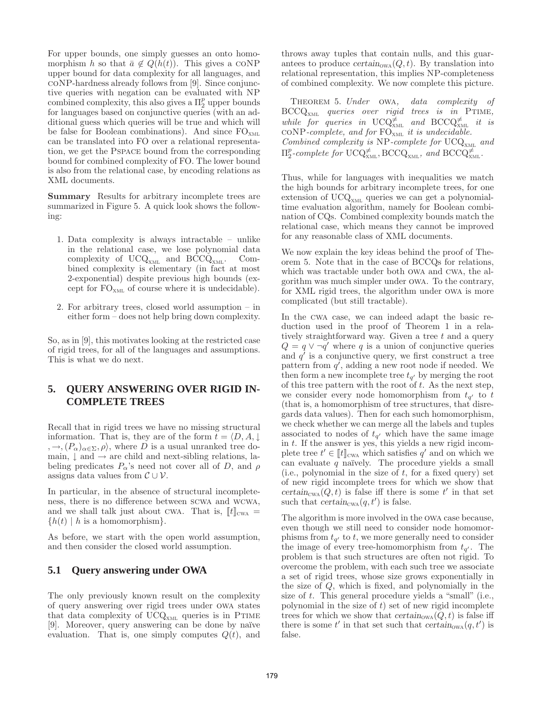For upper bounds, one simply guesses an onto homomorphism h so that  $\bar{a} \notin Q(h(t))$ . This gives a CONP upper bound for data complexity for all languages, and coNP-hardness already follows from [9]. Since conjunctive queries with negation can be evaluated with NP combined complexity, this also gives a  $\Pi_2^p$  upper bounds for languages based on conjunctive queries (with an additional guess which queries will be true and which will be false for Boolean combinations). And since  $FO_{xML}$ can be translated into FO over a relational representation, we get the Pspace bound from the corresponding bound for combined complexity of FO. The lower bound is also from the relational case, by encoding relations as XML documents.

Summary Results for arbitrary incomplete trees are summarized in Figure 5. A quick look shows the following:

- 1. Data complexity is always intractable unlike in the relational case, we lose polynomial data complexity of  $UCQ<sub>XML</sub>$  and  $BCCQ<sub>XML</sub>$ . Combined complexity is elementary (in fact at most 2-exponential) despite previous high bounds (except for  $FO_{xML}$  of course where it is undecidable).
- 2. For arbitrary trees, closed world assumption in either form – does not help bring down complexity.

So, as in [9], this motivates looking at the restricted case of rigid trees, for all of the languages and assumptions. This is what we do next.

# **5. QUERY ANSWERING OVER RIGID IN-COMPLETE TREES**

Recall that in rigid trees we have no missing structural information. That is, they are of the form  $t = \langle D, A, \downarrow \rangle$  $, \rightarrow, (P_{\alpha})_{\alpha \in \Sigma}, \rho \rangle$ , where D is a usual unranked tree domain,  $\downarrow$  and  $\rightarrow$  are child and next-sibling relations, labeling predicates  $P_{\alpha}$ 's need not cover all of D, and  $\rho$ assigns data values from  $\mathcal{C} \cup \mathcal{V}$ .

In particular, in the absence of structural incompleteness, there is no difference between scwa and wcwa, and we shall talk just about CWA. That is,  $[[t]]_{\text{CWA}} =$  ${h(t) | h$  is a homomorphism.

As before, we start with the open world assumption, and then consider the closed world assumption.

## **5.1 Query answering under OWA**

The only previously known result on the complexity of query answering over rigid trees under owa states that data complexity of  $UCQ_{xML}$  queries is in PTIME [9]. Moreover, query answering can be done by naïve evaluation. That is, one simply computes  $Q(t)$ , and

throws away tuples that contain nulls, and this guarantees to produce  $certain_{\text{OWA}}(Q, t)$ . By translation into relational representation, this implies NP-completeness of combined complexity. We now complete this picture.

Theorem 5. *Under* owa*, data complexity of* BCCQxml *queries over rigid trees is in* Ptime*,* while for queries in  $UCQ_{x_{ML}}^{\neq}$  and  $BCCQ_{x_{ML}}^{\neq}$  it is coNP*-complete, and for* FOxml *it is undecidable. Combined complexity is* NP*-complete for* UCQxml *and*  $\Pi_{2}^{p}$ -complete for  $\mathrm{UCQ}^{\neq}_{XML}$ , BCCQ<sub>XML</sub>, and BCCQ<sub>XML</sub>.

Thus, while for languages with inequalities we match the high bounds for arbitrary incomplete trees, for one extension of  $UCQ_{x_{ML}}$  queries we can get a polynomialtime evaluation algorithm, namely for Boolean combination of CQs. Combined complexity bounds match the relational case, which means they cannot be improved for any reasonable class of XML documents.

We now explain the key ideas behind the proof of Theorem 5. Note that in the case of BCCQs for relations, which was tractable under both owa and cwa, the algorithm was much simpler under owa. To the contrary, for XML rigid trees, the algorithm under owa is more complicated (but still tractable).

In the cwa case, we can indeed adapt the basic reduction used in the proof of Theorem 1 in a relatively straightforward way. Given a tree  $t$  and a query  $Q = q \vee \neg q'$  where q is a union of conjunctive queries and  $q'$  is a conjunctive query, we first construct a tree pattern from  $q'$ , adding a new root node if needed. We then form a new incomplete tree  $t_{q'}$  by merging the root of this tree pattern with the root of  $t$ . As the next step, we consider every node homomorphism from  $t_{q'}$  to t (that is, a homomorphism of tree structures, that disregards data values). Then for each such homomorphism, we check whether we can merge all the labels and tuples associated to nodes of  $t_{q'}$  which have the same image in t. If the answer is yes, this yields a new rigid incomplete tree  $t' \in [t]_{\text{CWA}}$  which satisfies q' and on which we can evaluate  $q$  naïvely. The procedure yields a small (i.e., polynomial in the size of  $t$ , for a fixed query) set of new rigid incomplete trees for which we show that certain<sub>cwa</sub> $(Q, t)$  is false iff there is some t' in that set such that  $certain_{\text{CWA}}(q, t')$  is false.

The algorithm is more involved in the owa case because, even though we still need to consider node homomorphisms from  $t_{q'}$  to t, we more generally need to consider the image of every tree-homomorphism from  $t_{q'}$ . The problem is that such structures are often not rigid. To overcome the problem, with each such tree we associate a set of rigid trees, whose size grows exponentially in the size of Q, which is fixed, and polynomially in the size of t. This general procedure yields a "small" (i.e., polynomial in the size of  $t$ ) set of new rigid incomplete trees for which we show that  $certain_{\text{OWA}}(Q, t)$  is false iff there is some t' in that set such that  $certain_{\text{OWA}}(q, t')$  is false.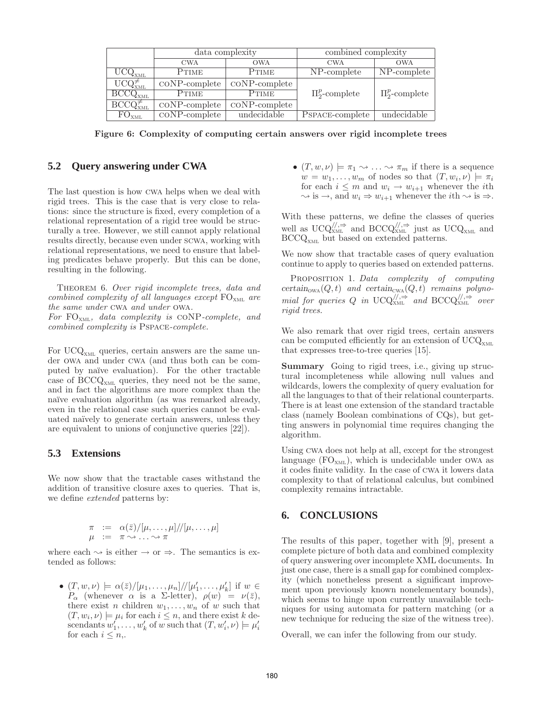|                                       | data complexity                      |                           | combined complexity |                     |
|---------------------------------------|--------------------------------------|---------------------------|---------------------|---------------------|
|                                       | <b>CWA</b>                           | <b>OWA</b>                | <b>CWA</b>          | <b>OWA</b>          |
| $\rm U\bar{C}Q_{xML}$                 | PTIME                                | PTIME                     | NP-complete         | NP-complete         |
| $UCQ^{\neq}_{XML}$                    | $\mathrm{coNP}$ -complete            | $\mathrm{coNP}$ -complete |                     |                     |
| $\mathrm{BCCQ}_{XML}$                 | <b>PTIME</b>                         | <b>PTIME</b>              | $\Pi_2^p$ -complete | $\Pi_2^p$ -complete |
| $\mathrm{BCCQ}^{\neq}_{\mathrm{XML}}$ | $\mathrm{coNP}$ -complete            | $\mathrm{coNP}$ -complete |                     |                     |
| FO <sub>XML</sub>                     | $\overline{\mathrm{coNP}}$ -complete | undecidable               | PSPACE-complete     | undecidable         |

Figure 6: Complexity of computing certain answers over rigid incomplete trees

## **5.2 Query answering under CWA**

The last question is how cwa helps when we deal with rigid trees. This is the case that is very close to relations: since the structure is fixed, every completion of a relational representation of a rigid tree would be structurally a tree. However, we still cannot apply relational results directly, because even under scwa, working with relational representations, we need to ensure that labeling predicates behave properly. But this can be done, resulting in the following.

Theorem 6. *Over rigid incomplete trees, data and combined complexity of all languages except* FOxml *are the same under* cwa *and under* owa*.*

*For* FOxml*, data complexity is* coNP*-complete, and combined complexity is* Pspace*-complete.*

For  $UCQ<sub>xML</sub>$  queries, certain answers are the same under owa and under cwa (and thus both can be computed by naïve evaluation). For the other tractable case of  $\text{BCCQ}_{\text{XML}}$  queries, they need not be the same, and in fact the algorithms are more complex than the naïve evaluation algorithm (as was remarked already, even in the relational case such queries cannot be evaluated naïvely to generate certain answers, unless they are equivalent to unions of conjunctive queries [22]).

## **5.3 Extensions**

We now show that the tractable cases withstand the addition of transitive closure axes to queries. That is, we define *extended* patterns by:

$$
\begin{array}{rcl}\n\pi & := & \alpha(\bar{z})/[\mu, \ldots, \mu]/[\mu, \ldots, \mu] \\
\mu & := & \pi \leadsto \ldots \leadsto \pi\n\end{array}
$$

where each  $\sim$  is either  $\rightarrow$  or  $\Rightarrow$ . The semantics is extended as follows:

•  $(T, w, \nu) \models \alpha(\bar{z})/[\mu_1, \ldots, \mu_n] // [\mu'_1, \ldots, \mu'_k]$  if  $w \in$  $P_{\alpha}$  (whenever  $\alpha$  is a  $\Sigma$ -letter),  $\rho(w) = \nu(\bar{z}),$ there exist *n* children  $w_1, \ldots, w_n$  of *w* such that  $(T, w_i, \nu) \models \mu_i$  for each  $i \leq n$ , and there exist k descendants  $w'_1, \ldots, w'_k$  of w such that  $(T, w'_i, \nu) \models \mu'_i$ for each  $i \leq n$ ,.

•  $(T, w, \nu) \models \pi_1 \leadsto \ldots \leadsto \pi_m$  if there is a sequence  $w = w_1, \ldots, w_m$  of nodes so that  $(T, w_i, \nu) \models \pi_i$ for each  $i \leq m$  and  $w_i \to w_{i+1}$  whenever the *i*th  $\sim$  is  $\rightarrow$ , and  $w_i \Rightarrow w_{i+1}$  whenever the *i*th  $\sim$  is  $\Rightarrow$ .

With these patterns, we define the classes of queries well as  $\text{UCQ}_{\text{XML}}^{/\!/\!/\Rightarrow}$  and  $\text{BCCQ}_{\text{XML}}^{/\!/\!/\Rightarrow}$  just as  $\text{UCQ}_{\text{XML}}$  and BCCQ<sub>XML</sub> but based on extended patterns.

We now show that tractable cases of query evaluation continue to apply to queries based on extended patterns.

Proposition 1. *Data complexity of computing* certain<sub>owa</sub> $(Q, t)$  and certain<sub>cwa</sub> $(Q, t)$  *remains polynomial for queries* Q *in* UCQ $_{XML}^{//, \Rightarrow}$  *and* BCCQ $_{XML}^{//, \Rightarrow}$  *over rigid trees.*

We also remark that over rigid trees, certain answers can be computed efficiently for an extension of  $UCQ<sub>xML</sub>$ that expresses tree-to-tree queries [15].

Summary Going to rigid trees, i.e., giving up structural incompleteness while allowing null values and wildcards, lowers the complexity of query evaluation for all the languages to that of their relational counterparts. There is at least one extension of the standard tractable class (namely Boolean combinations of CQs), but getting answers in polynomial time requires changing the algorithm.

Using cwa does not help at all, except for the strongest language  $(FO<sub>XML</sub>)$ , which is undecidable under OWA as it codes finite validity. In the case of cwa it lowers data complexity to that of relational calculus, but combined complexity remains intractable.

#### **6. CONCLUSIONS**

The results of this paper, together with [9], present a complete picture of both data and combined complexity of query answering over incomplete XML documents. In just one case, there is a small gap for combined complexity (which nonetheless present a significant improvement upon previously known nonelementary bounds), which seems to hinge upon currently unavailable techniques for using automata for pattern matching (or a new technique for reducing the size of the witness tree).

Overall, we can infer the following from our study.